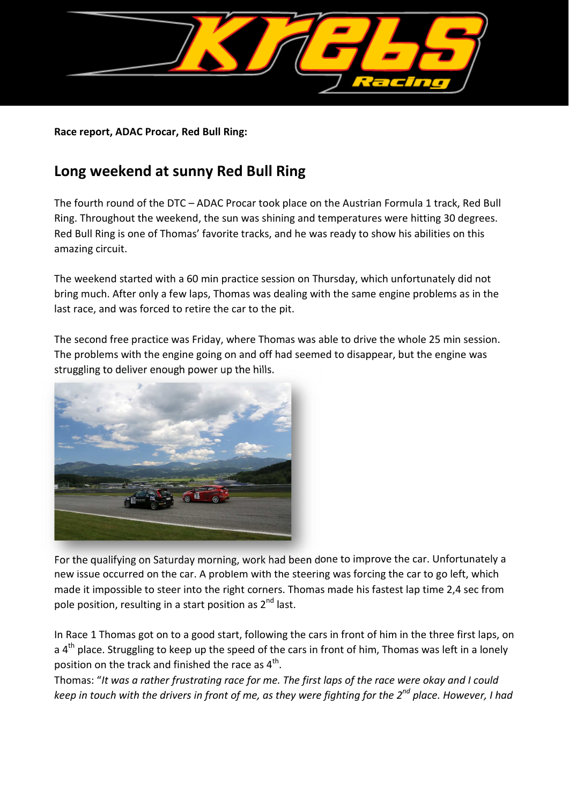

**Race report, ADAC Procar, Red Bull Ring:**

## **Long weekend at sunny Red Bull Ring**

The fourth round of the DTC – ADAC Procar took place on the Austrian Formula 1 track, Red Bull Ring. Throughout the weekend, the sun was shining and temperatures were hitting 30 degrees. Red Bull Ring is one of Thomas' favorite tracks, and he was ready to show his abilities on this amazing circuit.

The weekend started with a 60 min practice session on Thursday, which unfortunately did not bring much. After only a few laps, Thomas was dealing with the same engine problems as in the last race, and was forced to retire the car to the pit.

The second free practice was Friday, where Thomas was able to drive the whole 25 min session. The problems with the engine going on and off had seemed to disappear, but the engine was struggling to deliver enough power up the hills.



For the qualifying on Saturday morning, work had been done to improve the car. Unfortunately a new issue occurred on the car. A problem with the steering was forcing the car to go left, which made it impossible to steer into the right corners. Thomas made his fastest lap time 2,4 sec from pole position, resulting in a start position as  $2^{nd}$  last.

In Race 1 Thomas got on to a good start, following the cars in front of him in the three first laps, on a  $4<sup>th</sup>$  place. Struggling to keep up the speed of the cars in front of him, Thomas was left in a lonely position on the track and finished the race as  $4^{\text{th}}$ .

Thomas: "*It was a rather frustrating race for me. The first laps of the race were okay and I could keep in touch with the drivers in front of me, as they were fighting for the 2nd place. However, I had*